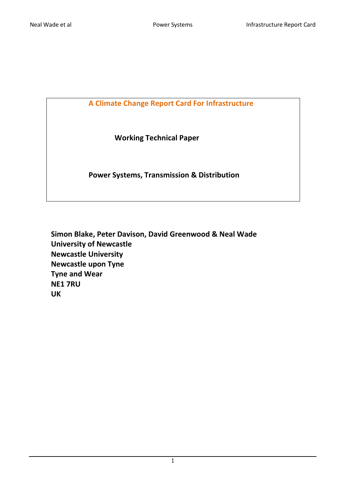**A Climate Change Report Card For Infrastructure**

 **Working Technical Paper**

 **Power Systems, Transmission & Distribution**

**Simon Blake, Peter Davison, David Greenwood & Neal Wade University of Newcastle Newcastle University Newcastle upon Tyne Tyne and Wear NE1 7RU UK**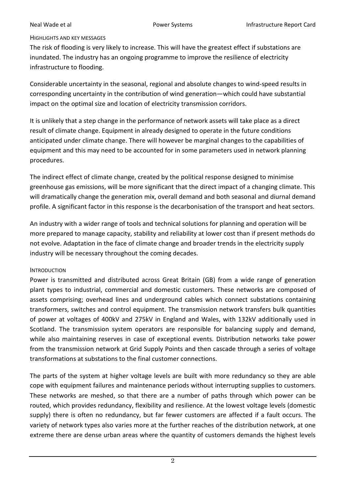### HIGHLIGHTS AND KEY MESSAGES

The risk of flooding is very likely to increase. This will have the greatest effect if substations are inundated. The industry has an ongoing programme to improve the resilience of electricity infrastructure to flooding.

Considerable uncertainty in the seasonal, regional and absolute changes to wind-speed results in corresponding uncertainty in the contribution of wind generation—which could have substantial impact on the optimal size and location of electricity transmission corridors.

It is unlikely that a step change in the performance of network assets will take place as a direct result of climate change. Equipment in already designed to operate in the future conditions anticipated under climate change. There will however be marginal changes to the capabilities of equipment and this may need to be accounted for in some parameters used in network planning procedures.

The indirect effect of climate change, created by the political response designed to minimise greenhouse gas emissions, will be more significant that the direct impact of a changing climate. This will dramatically change the generation mix, overall demand and both seasonal and diurnal demand profile. A significant factor in this response is the decarbonisation of the transport and heat sectors.

An industry with a wider range of tools and technical solutions for planning and operation will be more prepared to manage capacity, stability and reliability at lower cost than if present methods do not evolve. Adaptation in the face of climate change and broader trends in the electricity supply industry will be necessary throughout the coming decades.

### **INTRODUCTION**

Power is transmitted and distributed across Great Britain (GB) from a wide range of generation plant types to industrial, commercial and domestic customers. These networks are composed of assets comprising; overhead lines and underground cables which connect substations containing transformers, switches and control equipment. The transmission network transfers bulk quantities of power at voltages of 400kV and 275kV in England and Wales, with 132kV additionally used in Scotland. The transmission system operators are responsible for balancing supply and demand, while also maintaining reserves in case of exceptional events. Distribution networks take power from the transmission network at Grid Supply Points and then cascade through a series of voltage transformations at substations to the final customer connections.

The parts of the system at higher voltage levels are built with more redundancy so they are able cope with equipment failures and maintenance periods without interrupting supplies to customers. These networks are meshed, so that there are a number of paths through which power can be routed, which provides redundancy, flexibility and resilience. At the lowest voltage levels (domestic supply) there is often no redundancy, but far fewer customers are affected if a fault occurs. The variety of network types also varies more at the further reaches of the distribution network, at one extreme there are dense urban areas where the quantity of customers demands the highest levels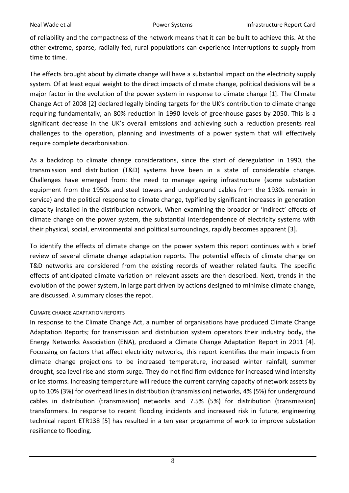of reliability and the compactness of the network means that it can be built to achieve this. At the other extreme, sparse, radially fed, rural populations can experience interruptions to supply from time to time.

The effects brought about by climate change will have a substantial impact on the electricity supply system. Of at least equal weight to the direct impacts of climate change, political decisions will be a major factor in the evolution of the power system in response to climate change [\[1\]](#page-16-0). The Climate Change Act of 2008 [\[2\]](#page-16-1) declared legally binding targets for the UK's contribution to climate change requiring fundamentally, an 80% reduction in 1990 levels of greenhouse gases by 2050. This is a significant decrease in the UK's overall emissions and achieving such a reduction presents real challenges to the operation, planning and investments of a power system that will effectively require complete decarbonisation.

As a backdrop to climate change considerations, since the start of deregulation in 1990, the transmission and distribution (T&D) systems have been in a state of considerable change. Challenges have emerged from: the need to manage ageing infrastructure (some substation equipment from the 1950s and steel towers and underground cables from the 1930s remain in service) and the political response to climate change, typified by significant increases in generation capacity installed in the distribution network. When examining the broader or 'indirect' effects of climate change on the power system, the substantial interdependence of electricity systems with their physical, social, environmental and political surroundings, rapidly becomes apparent [\[3\]](#page-16-2).

To identify the effects of climate change on the power system this report continues with a brief review of several climate change adaptation reports. The potential effects of climate change on T&D networks are considered from the existing records of weather related faults. The specific effects of anticipated climate variation on relevant assets are then described. Next, trends in the evolution of the power system, in large part driven by actions designed to minimise climate change, are discussed. A summary closes the repot.

# CLIMATE CHANGE ADAPTATION REPORTS

In response to the Climate Change Act, a number of organisations have produced Climate Change Adaptation Reports; for transmission and distribution system operators their industry body, the Energy Networks Association (ENA), produced a Climate Change Adaptation Report in 2011 [\[4\]](#page-16-3). Focussing on factors that affect electricity networks, this report identifies the main impacts from climate change projections to be increased temperature, increased winter rainfall, summer drought, sea level rise and storm surge. They do not find firm evidence for increased wind intensity or ice storms. Increasing temperature will reduce the current carrying capacity of network assets by up to 10% (3%) for overhead lines in distribution (transmission) networks, 4% (5%) for underground cables in distribution (transmission) networks and 7.5% (5%) for distribution (transmission) transformers. In response to recent flooding incidents and increased risk in future, engineering technical report ETR138 [\[5\]](#page-16-4) has resulted in a ten year programme of work to improve substation resilience to flooding.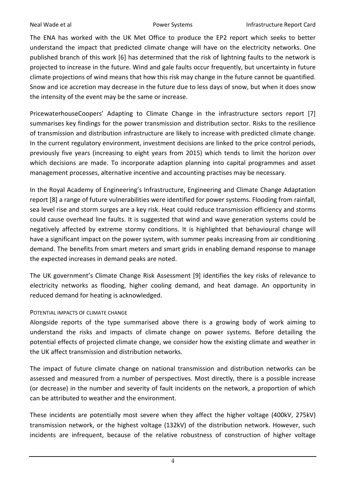The ENA has worked with the UK Met Office to produce the EP2 report which seeks to better understand the impact that predicted climate change will have on the electricity networks. One published branch of this work [\[6\]](#page-16-5) has determined that the risk of lightning faults to the network is projected to increase in the future. Wind and gale faults occur frequently, but uncertainty in future climate projections of wind means that how this risk may change in the future cannot be quantified. Snow and ice accretion may decrease in the future due to less days of snow, but when it does snow the intensity of the event may be the same or increase.

PricewaterhouseCoopers' Adapting to Climate Change in the infrastructure sectors report [\[7\]](#page-16-6) summarises key findings for the power transmission and distribution sector. Risks to the resilience of transmission and distribution infrastructure are likely to increase with predicted climate change. In the current regulatory environment, investment decisions are linked to the price control periods, previously five years (increasing to eight years from 2015) which tends to limit the horizon over which decisions are made. To incorporate adaption planning into capital programmes and asset management processes, alternative incentive and accounting practises may be necessary.

In the Royal Academy of Engineering's Infrastructure, Engineering and Climate Change Adaptation report [\[8\]](#page-16-7) a range of future vulnerabilities were identified for power systems. Flooding from rainfall, sea level rise and storm surges are a key risk. Heat could reduce transmission efficiency and storms could cause overhead line faults. It is suggested that wind and wave generation systems could be negatively affected by extreme stormy conditions. It is highlighted that behavioural change will have a significant impact on the power system, with summer peaks increasing from air conditioning demand. The benefits from smart meters and smart grids in enabling demand response to manage the expected increases in demand peaks are noted.

The UK government's Climate Change Risk Assessment [\[9\]](#page-16-8) identifies the key risks of relevance to electricity networks as flooding, higher cooling demand, and heat damage. An opportunity in reduced demand for heating is acknowledged.

### POTENTIAL IMPACTS OF CLIMATE CHANGE

Alongside reports of the type summarised above there is a growing body of work aiming to understand the risks and impacts of climate change on power systems. Before detailing the potential effects of projected climate change, we consider how the existing climate and weather in the UK affect transmission and distribution networks.

The impact of future climate change on national transmission and distribution networks can be assessed and measured from a number of perspectives. Most directly, there is a possible increase (or decrease) in the number and severity of fault incidents on the network, a proportion of which can be attributed to weather and the environment.

These incidents are potentially most severe when they affect the higher voltage (400kV, 275kV) transmission network, or the highest voltage (132kV) of the distribution network. However, such incidents are infrequent, because of the relative robustness of construction of higher voltage

4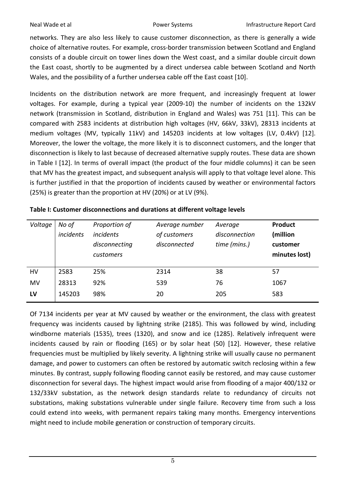networks. They are also less likely to cause customer disconnection, as there is generally a wide choice of alternative routes. For example, cross-border transmission between Scotland and England consists of a double circuit on tower lines down the West coast, and a similar double circuit down the East coast, shortly to be augmented by a direct undersea cable between Scotland and North Wales, and the possibility of a further undersea cable off the East coast [\[10\]](#page-16-9).

Incidents on the distribution network are more frequent, and increasingly frequent at lower voltages. For example, during a typical year (2009-10) the number of incidents on the 132kV network (transmission in Scotland, distribution in England and Wales) was 751 [\[11\]](#page-16-10). This can be compared with 2583 incidents at distribution high voltages (HV, 66kV, 33kV), 28313 incidents at medium voltages (MV, typically 11kV) and 145203 incidents at low voltages (LV, 0.4kV) [\[12\]](#page-16-11). Moreover, the lower the voltage, the more likely it is to disconnect customers, and the longer that disconnection is likely to last because of decreased alternative supply routes. These data are shown in Table I [\[12\]](#page-16-11). In terms of overall impact (the product of the four middle columns) it can be seen that MV has the greatest impact, and subsequent analysis will apply to that voltage level alone. This is further justified in that the proportion of incidents caused by weather or environmental factors (25%) is greater than the proportion at HV (20%) or at LV (9%).

| Voltage | No of     | Proportion of    | Average number | Average       | <b>Product</b> |
|---------|-----------|------------------|----------------|---------------|----------------|
|         | incidents | <i>incidents</i> | of customers   | disconnection | (million       |
|         |           | disconnecting    | disconnected   | time (mins.)  | customer       |
|         |           | customers        |                |               | minutes lost)  |
|         |           |                  |                |               |                |
| HV      | 2583      | 25%              | 2314           | 38            | 57             |
| MV      | 28313     | 92%              | 539            | 76            | 1067           |
| LV      | 145203    | 98%              | 20             | 205           | 583            |
|         |           |                  |                |               |                |

Of 7134 incidents per year at MV caused by weather or the environment, the class with greatest frequency was incidents caused by lightning strike (2185). This was followed by wind, including windborne materials (1535), trees (1320), and snow and ice (1285). Relatively infrequent were incidents caused by rain or flooding (165) or by solar heat (50) [\[12\]](#page-16-11). However, these relative frequencies must be multiplied by likely severity. A lightning strike will usually cause no permanent damage, and power to customers can often be restored by automatic switch reclosing within a few minutes. By contrast, supply following flooding cannot easily be restored, and may cause customer disconnection for several days. The highest impact would arise from flooding of a major 400/132 or 132/33kV substation, as the network design standards relate to redundancy of circuits not substations, making substations vulnerable under single failure. Recovery time from such a loss could extend into weeks, with permanent repairs taking many months. Emergency interventions might need to include mobile generation or construction of temporary circuits.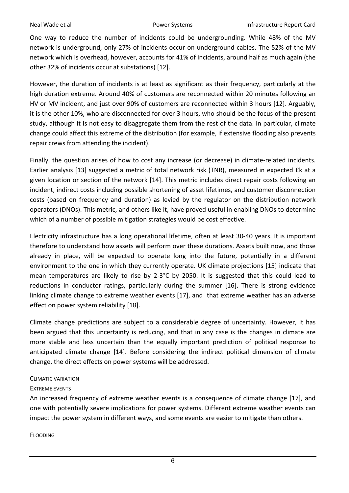One way to reduce the number of incidents could be undergrounding. While 48% of the MV network is underground, only 27% of incidents occur on underground cables. The 52% of the MV network which is overhead, however, accounts for 41% of incidents, around half as much again (the other 32% of incidents occur at substations) [\[12\]](#page-16-11).

However, the duration of incidents is at least as significant as their frequency, particularly at the high duration extreme. Around 40% of customers are reconnected within 20 minutes following an HV or MV incident, and just over 90% of customers are reconnected within 3 hours [\[12\]](#page-16-11). Arguably, it is the other 10%, who are disconnected for over 3 hours, who should be the focus of the present study, although it is not easy to disaggregate them from the rest of the data. In particular, climate change could affect this extreme of the distribution (for example, if extensive flooding also prevents repair crews from attending the incident).

Finally, the question arises of how to cost any increase (or decrease) in climate-related incidents. Earlier analysis [\[13\]](#page-16-12) suggested a metric of total network risk (TNR), measured in expected £k at a given location or section of the network [\[14\]](#page-16-13). This metric includes direct repair costs following an incident, indirect costs including possible shortening of asset lifetimes, and customer disconnection costs (based on frequency and duration) as levied by the regulator on the distribution network operators (DNOs). This metric, and others like it, have proved useful in enabling DNOs to determine which of a number of possible mitigation strategies would be cost effective.

Electricity infrastructure has a long operational lifetime, often at least 30-40 years. It is important therefore to understand how assets will perform over these durations. Assets built now, and those already in place, will be expected to operate long into the future, potentially in a different environment to the one in which they currently operate. UK climate projections [\[15\]](#page-16-14) indicate that mean temperatures are likely to rise by 2-3°C by 2050. It is suggested that this could lead to reductions in conductor ratings, particularly during the summer [\[16\]](#page-16-15). There is strong evidence linking climate change to extreme weather events [\[17\]](#page-16-16), and that extreme weather has an adverse effect on power system reliability [\[18\]](#page-16-17).

Climate change predictions are subject to a considerable degree of uncertainty. However, it has been argued that this uncertainty is reducing, and that in any case is the changes in climate are more stable and less uncertain than the equally important prediction of political response to anticipated climate change [\[14\]](#page-16-13). Before considering the indirect political dimension of climate change, the direct effects on power systems will be addressed.

### CLIMATIC VARIATION

# EXTREME EVENTS

An increased frequency of extreme weather events is a consequence of climate change [\[17\]](#page-16-16), and one with potentially severe implications for power systems. Different extreme weather events can impact the power system in different ways, and some events are easier to mitigate than others.

### FLOODING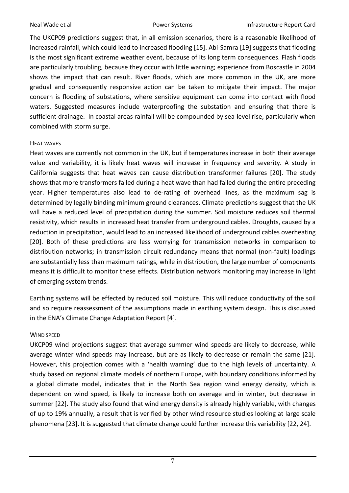The UKCP09 predictions suggest that, in all emission scenarios, there is a reasonable likelihood of increased rainfall, which could lead to increased flooding [\[15\]](#page-16-14). Abi-Samra [\[19\]](#page-16-18) suggests that flooding is the most significant extreme weather event, because of its long term consequences. Flash floods are particularly troubling, because they occur with little warning; experience from Boscastle in 2004 shows the impact that can result. River floods, which are more common in the UK, are more gradual and consequently responsive action can be taken to mitigate their impact. The major concern is flooding of substations, where sensitive equipment can come into contact with flood waters. Suggested measures include waterproofing the substation and ensuring that there is sufficient drainage. In coastal areas rainfall will be compounded by sea-level rise, particularly when combined with storm surge.

## HEAT WAVES

Heat waves are currently not common in the UK, but if temperatures increase in both their average value and variability, it is likely heat waves will increase in frequency and severity. A study in California suggests that heat waves can cause distribution transformer failures [\[20\]](#page-16-19). The study shows that more transformers failed during a heat wave than had failed during the entire preceding year. Higher temperatures also lead to de-rating of overhead lines, as the maximum sag is determined by legally binding minimum ground clearances. Climate predictions suggest that the UK will have a reduced level of precipitation during the summer. Soil moisture reduces soil thermal resistivity, which results in increased heat transfer from underground cables. Droughts, caused by a reduction in precipitation, would lead to an increased likelihood of underground cables overheating [\[20\]](#page-16-19). Both of these predictions are less worrying for transmission networks in comparison to distribution networks; in transmission circuit redundancy means that normal (non-fault) loadings are substantially less than maximum ratings, while in distribution, the large number of components means it is difficult to monitor these effects. Distribution network monitoring may increase in light of emerging system trends.

Earthing systems will be effected by reduced soil moisture. This will reduce conductivity of the soil and so require reassessment of the assumptions made in earthing system design. This is discussed in the ENA's Climate Change Adaptation Report [\[4\]](#page-16-3).

### WIND SPEED

UKCP09 wind projections suggest that average summer wind speeds are likely to decrease, while average winter wind speeds may increase, but are as likely to decrease or remain the same [\[21\]](#page-16-20). However, this projection comes with a 'health warning' due to the high levels of uncertainty. A study based on regional climate models of northern Europe, with boundary conditions informed by a global climate model, indicates that in the North Sea region wind energy density, which is dependent on wind speed, is likely to increase both on average and in winter, but decrease in summer [\[22\]](#page-16-21). The study also found that wind energy density is already highly variable, with changes of up to 19% annually, a result that is verified by other wind resource studies looking at large scale phenomena [\[23\]](#page-17-0). It is suggested that climate change could further increase this variability [\[22,](#page-16-21) [24\]](#page-17-1).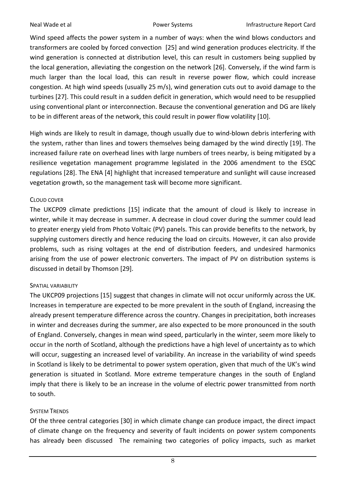Wind speed affects the power system in a number of ways: when the wind blows conductors and transformers are cooled by forced convection [\[25\]](#page-17-2) and wind generation produces electricity. If the wind generation is connected at distribution level, this can result in customers being supplied by the local generation, alleviating the congestion on the network [\[26\]](#page-17-3). Conversely, if the wind farm is much larger than the local load, this can result in reverse power flow, which could increase congestion. At high wind speeds (usually 25 m/s), wind generation cuts out to avoid damage to the turbines [\[27\]](#page-17-4). This could result in a sudden deficit in generation, which would need to be resupplied using conventional plant or interconnection. Because the conventional generation and DG are likely to be in different areas of the network, this could result in power flow volatility [\[10\]](#page-16-9).

High winds are likely to result in damage, though usually due to wind-blown debris interfering with the system, rather than lines and towers themselves being damaged by the wind directly [\[19\]](#page-16-18). The increased failure rate on overhead lines with large numbers of trees nearby, is being mitigated by a resilience vegetation management programme legislated in the 2006 amendment to the ESQC regulations [\[28\]](#page-17-5). The ENA [\[4\]](#page-16-3) highlight that increased temperature and sunlight will cause increased vegetation growth, so the management task will become more significant.

## CLOUD COVER

The UKCP09 climate predictions [\[15\]](#page-16-14) indicate that the amount of cloud is likely to increase in winter, while it may decrease in summer. A decrease in cloud cover during the summer could lead to greater energy yield from Photo Voltaic (PV) panels. This can provide benefits to the network, by supplying customers directly and hence reducing the load on circuits. However, it can also provide problems, such as rising voltages at the end of distribution feeders, and undesired harmonics arising from the use of power electronic converters. The impact of PV on distribution systems is discussed in detail by Thomson [\[29\]](#page-17-6).

### SPATIAL VARIABILITY

The UKCP09 projections [\[15\]](#page-16-14) suggest that changes in climate will not occur uniformly across the UK. Increases in temperature are expected to be more prevalent in the south of England, increasing the already present temperature difference across the country. Changes in precipitation, both increases in winter and decreases during the summer, are also expected to be more pronounced in the south of England. Conversely, changes in mean wind speed, particularly in the winter, seem more likely to occur in the north of Scotland, although the predictions have a high level of uncertainty as to which will occur, suggesting an increased level of variability. An increase in the variability of wind speeds in Scotland is likely to be detrimental to power system operation, given that much of the UK's wind generation is situated in Scotland. More extreme temperature changes in the south of England imply that there is likely to be an increase in the volume of electric power transmitted from north to south.

### SYSTEM TRENDS

Of the three central categories [\[30\]](#page-17-7) in which climate change can produce impact, the direct impact of climate change on the frequency and severity of fault incidents on power system components has already been discussed The remaining two categories of policy impacts, such as market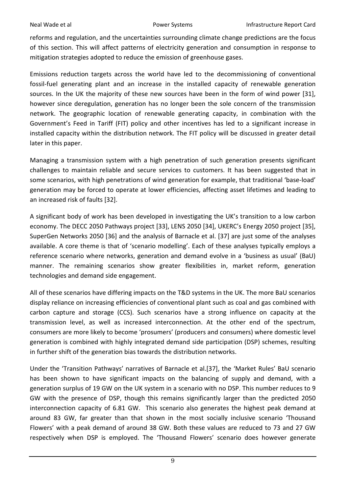reforms and regulation, and the uncertainties surrounding climate change predictions are the focus of this section. This will affect patterns of electricity generation and consumption in response to mitigation strategies adopted to reduce the emission of greenhouse gases.

Emissions reduction targets across the world have led to the decommissioning of conventional fossil-fuel generating plant and an increase in the installed capacity of renewable generation sources. In the UK the majority of these new sources have been in the form of wind power [\[31\]](#page-17-8), however since deregulation, generation has no longer been the sole concern of the transmission network. The geographic location of renewable generating capacity, in combination with the Government's Feed in Tariff (FIT) policy and other incentives has led to a significant increase in installed capacity within the distribution network. The FIT policy will be discussed in greater detail later in this paper.

Managing a transmission system with a high penetration of such generation presents significant challenges to maintain reliable and secure services to customers. It has been suggested that in some scenarios, with high penetrations of wind generation for example, that traditional 'base-load' generation may be forced to operate at lower efficiencies, affecting asset lifetimes and leading to an increased risk of faults [\[32\]](#page-17-9).

A significant body of work has been developed in investigating the UK's transition to a low carbon economy. The DECC 2050 Pathways project [\[33\]](#page-17-10), LENS 2050 [\[34\]](#page-17-11), UKERC's Energy 2050 project [\[35\]](#page-17-12), SuperGen Networks 2050 [\[36\]](#page-17-13) and the analysis of Barnacle et al. [\[37\]](#page-17-14) are just some of the analyses available. A core theme is that of 'scenario modelling'. Each of these analyses typically employs a reference scenario where networks, generation and demand evolve in a 'business as usual' (BaU) manner. The remaining scenarios show greater flexibilities in, market reform, generation technologies and demand side engagement.

All of these scenarios have differing impacts on the T&D systems in the UK. The more BaU scenarios display reliance on increasing efficiencies of conventional plant such as coal and gas combined with carbon capture and storage (CCS). Such scenarios have a strong influence on capacity at the transmission level, as well as increased interconnection. At the other end of the spectrum, consumers are more likely to become 'prosumers' (producers and consumers) where domestic level generation is combined with highly integrated demand side participation (DSP) schemes, resulting in further shift of the generation bias towards the distribution networks.

Under the 'Transition Pathways' narratives of Barnacle et al.[\[37\]](#page-17-14), the 'Market Rules' BaU scenario has been shown to have significant impacts on the balancing of supply and demand, with a generation surplus of 19 GW on the UK system in a scenario with no DSP. This number reduces to 9 GW with the presence of DSP, though this remains significantly larger than the predicted 2050 interconnection capacity of 6.81 GW. This scenario also generates the highest peak demand at around 83 GW, far greater than that shown in the most socially inclusive scenario 'Thousand Flowers' with a peak demand of around 38 GW. Both these values are reduced to 73 and 27 GW respectively when DSP is employed. The 'Thousand Flowers' scenario does however generate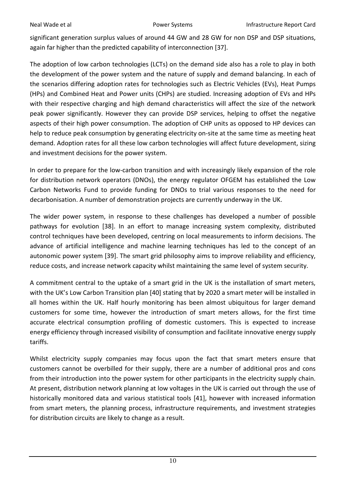significant generation surplus values of around 44 GW and 28 GW for non DSP and DSP situations, again far higher than the predicted capability of interconnection [\[37\]](#page-17-14).

The adoption of low carbon technologies (LCTs) on the demand side also has a role to play in both the development of the power system and the nature of supply and demand balancing. In each of the scenarios differing adoption rates for technologies such as Electric Vehicles (EVs), Heat Pumps (HPs) and Combined Heat and Power units (CHPs) are studied. Increasing adoption of EVs and HPs with their respective charging and high demand characteristics will affect the size of the network peak power significantly. However they can provide DSP services, helping to offset the negative aspects of their high power consumption. The adoption of CHP units as opposed to HP devices can help to reduce peak consumption by generating electricity on-site at the same time as meeting heat demand. Adoption rates for all these low carbon technologies will affect future development, sizing and investment decisions for the power system.

In order to prepare for the low-carbon transition and with increasingly likely expansion of the role for distribution network operators (DNOs), the energy regulator OFGEM has established the Low Carbon Networks Fund to provide funding for DNOs to trial various responses to the need for decarbonisation. A number of demonstration projects are currently underway in the UK.

The wider power system, in response to these challenges has developed a number of possible pathways for evolution [\[38\]](#page-17-15). In an effort to manage increasing system complexity, distributed control techniques have been developed, centring on local measurements to inform decisions. The advance of artificial intelligence and machine learning techniques has led to the concept of an autonomic power system [\[39\]](#page-17-16). The smart grid philosophy aims to improve reliability and efficiency, reduce costs, and increase network capacity whilst maintaining the same level of system security.

A commitment central to the uptake of a smart grid in the UK is the installation of smart meters, with the UK's Low Carbon Transition plan [\[40\]](#page-17-17) stating that by 2020 a smart meter will be installed in all homes within the UK. Half hourly monitoring has been almost ubiquitous for larger demand customers for some time, however the introduction of smart meters allows, for the first time accurate electrical consumption profiling of domestic customers. This is expected to increase energy efficiency through increased visibility of consumption and facilitate innovative energy supply tariffs.

Whilst electricity supply companies may focus upon the fact that smart meters ensure that customers cannot be overbilled for their supply, there are a number of additional pros and cons from their introduction into the power system for other participants in the electricity supply chain. At present, distribution network planning at low voltages in the UK is carried out through the use of historically monitored data and various statistical tools [\[41\]](#page-17-18), however with increased information from smart meters, the planning process, infrastructure requirements, and investment strategies for distribution circuits are likely to change as a result.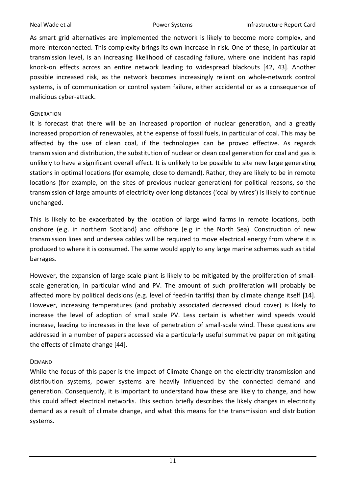As smart grid alternatives are implemented the network is likely to become more complex, and more interconnected. This complexity brings its own increase in risk. One of these, in particular at transmission level, is an increasing likelihood of cascading failure, where one incident has rapid knock-on effects across an entire network leading to widespread blackouts [\[42,](#page-17-19) [43\]](#page-18-0). Another possible increased risk, as the network becomes increasingly reliant on whole-network control systems, is of communication or control system failure, either accidental or as a consequence of malicious cyber-attack.

### **GENERATION**

It is forecast that there will be an increased proportion of nuclear generation, and a greatly increased proportion of renewables, at the expense of fossil fuels, in particular of coal. This may be affected by the use of clean coal, if the technologies can be proved effective. As regards transmission and distribution, the substitution of nuclear or clean coal generation for coal and gas is unlikely to have a significant overall effect. It is unlikely to be possible to site new large generating stations in optimal locations (for example, close to demand). Rather, they are likely to be in remote locations (for example, on the sites of previous nuclear generation) for political reasons, so the transmission of large amounts of electricity over long distances ('coal by wires') is likely to continue unchanged.

This is likely to be exacerbated by the location of large wind farms in remote locations, both onshore (e.g. in northern Scotland) and offshore (e.g in the North Sea). Construction of new transmission lines and undersea cables will be required to move electrical energy from where it is produced to where it is consumed. The same would apply to any large marine schemes such as tidal barrages.

However, the expansion of large scale plant is likely to be mitigated by the proliferation of smallscale generation, in particular wind and PV. The amount of such proliferation will probably be affected more by political decisions (e.g. level of feed-in tariffs) than by climate change itself [\[14\]](#page-16-13). However, increasing temperatures (and probably associated decreased cloud cover) is likely to increase the level of adoption of small scale PV. Less certain is whether wind speeds would increase, leading to increases in the level of penetration of small-scale wind. These questions are addressed in a number of papers accessed via a particularly useful summative paper on mitigating the effects of climate change [\[44\]](#page-18-1).

### DEMAND

While the focus of this paper is the impact of Climate Change on the electricity transmission and distribution systems, power systems are heavily influenced by the connected demand and generation. Consequently, it is important to understand how these are likely to change, and how this could affect electrical networks. This section briefly describes the likely changes in electricity demand as a result of climate change, and what this means for the transmission and distribution systems.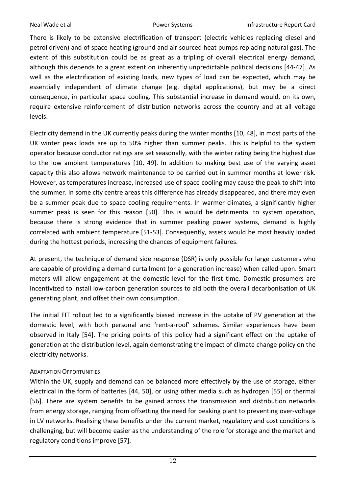There is likely to be extensive electrification of transport (electric vehicles replacing diesel and petrol driven) and of space heating (ground and air sourced heat pumps replacing natural gas). The extent of this substitution could be as great as a tripling of overall electrical energy demand, although this depends to a great extent on inherently unpredictable political decisions [\[44-47\]](#page-18-1). As well as the electrification of existing loads, new types of load can be expected, which may be essentially independent of climate change (e.g. digital applications), but may be a direct consequence, in particular space cooling. This substantial increase in demand would, on its own, require extensive reinforcement of distribution networks across the country and at all voltage levels.

Electricity demand in the UK currently peaks during the winter months [\[10,](#page-16-9) [48\]](#page-18-2), in most parts of the UK winter peak loads are up to 50% higher than summer peaks. This is helpful to the system operator because conductor ratings are set seasonally, with the winter rating being the highest due to the low ambient temperatures [\[10,](#page-16-9) [49\]](#page-18-3). In addition to making best use of the varying asset capacity this also allows network maintenance to be carried out in summer months at lower risk. However, as temperatures increase, increased use of space cooling may cause the peak to shift into the summer. In some city centre areas this difference has already disappeared, and there may even be a summer peak due to space cooling requirements. In warmer climates, a significantly higher summer peak is seen for this reason [\[50\]](#page-18-4). This is would be detrimental to system operation, because there is strong evidence that in summer peaking power systems, demand is highly correlated with ambient temperature [\[51-53\]](#page-18-5). Consequently, assets would be most heavily loaded during the hottest periods, increasing the chances of equipment failures.

At present, the technique of demand side response (DSR) is only possible for large customers who are capable of providing a demand curtailment (or a generation increase) when called upon. Smart meters will allow engagement at the domestic level for the first time. Domestic prosumers are incentivized to install low-carbon generation sources to aid both the overall decarbonisation of UK generating plant, and offset their own consumption.

The initial FIT rollout led to a significantly biased increase in the uptake of PV generation at the domestic level, with both personal and 'rent-a-roof' schemes. Similar experiences have been observed in Italy [\[54\]](#page-18-6). The pricing points of this policy had a significant effect on the uptake of generation at the distribution level, again demonstrating the impact of climate change policy on the electricity networks.

# ADAPTATION OPPORTUNITIES

Within the UK, supply and demand can be balanced more effectively by the use of storage, either electrical in the form of batteries [\[44,](#page-18-1) [50\]](#page-18-4), or using other media such as hydrogen [\[55\]](#page-18-7) or thermal [\[56\]](#page-18-8). There are system benefits to be gained across the transmission and distribution networks from energy storage, ranging from offsetting the need for peaking plant to preventing over-voltage in LV networks. Realising these benefits under the current market, regulatory and cost conditions is challenging, but will become easier as the understanding of the role for storage and the market and regulatory conditions improve [\[57\]](#page-18-9).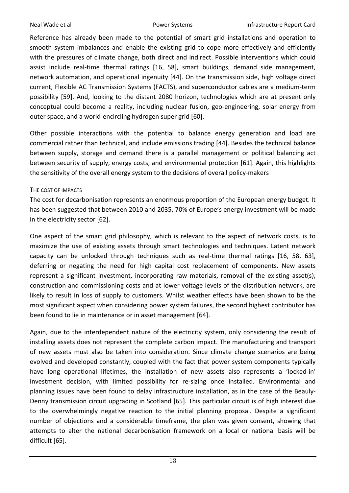Reference has already been made to the potential of smart grid installations and operation to smooth system imbalances and enable the existing grid to cope more effectively and efficiently with the pressures of climate change, both direct and indirect. Possible interventions which could assist include real-time thermal ratings [\[16,](#page-16-15) [58\]](#page-18-10), smart buildings, demand side management, network automation, and operational ingenuity [\[44\]](#page-18-1). On the transmission side, high voltage direct current, Flexible AC Transmission Systems (FACTS), and superconductor cables are a medium-term possibility [\[59\]](#page-18-11). And, looking to the distant 2080 horizon, technologies which are at present only conceptual could become a reality, including nuclear fusion, geo-engineering, solar energy from outer space, and a world-encircling hydrogen super grid [\[60\]](#page-19-0).

Other possible interactions with the potential to balance energy generation and load are commercial rather than technical, and include emissions trading [\[44\]](#page-18-1). Besides the technical balance between supply, storage and demand there is a parallel management or political balancing act between security of supply, energy costs, and environmental protection [\[61\]](#page-19-1). Again, this highlights the sensitivity of the overall energy system to the decisions of overall policy-makers

### THE COST OF IMPACTS

The cost for decarbonisation represents an enormous proportion of the European energy budget. It has been suggested that between 2010 and 2035, 70% of Europe's energy investment will be made in the electricity sector [\[62\]](#page-19-2).

One aspect of the smart grid philosophy, which is relevant to the aspect of network costs, is to maximize the use of existing assets through smart technologies and techniques. Latent network capacity can be unlocked through techniques such as real-time thermal ratings [\[16,](#page-16-15) [58,](#page-18-10) [63\]](#page-19-3), deferring or negating the need for high capital cost replacement of components. New assets represent a significant investment, incorporating raw materials, removal of the existing asset(s), construction and commissioning costs and at lower voltage levels of the distribution network, are likely to result in loss of supply to customers. Whilst weather effects have been shown to be the most significant aspect when considering power system failures, the second highest contributor has been found to lie in maintenance or in asset management [\[64\]](#page-19-4).

Again, due to the interdependent nature of the electricity system, only considering the result of installing assets does not represent the complete carbon impact. The manufacturing and transport of new assets must also be taken into consideration. Since climate change scenarios are being evolved and developed constantly, coupled with the fact that power system components typically have long operational lifetimes, the installation of new assets also represents a 'locked-in' investment decision, with limited possibility for re-sizing once installed. Environmental and planning issues have been found to delay infrastructure installation, as in the case of the Beauly-Denny transmission circuit upgrading in Scotland [\[65\]](#page-19-5). This particular circuit is of high interest due to the overwhelmingly negative reaction to the initial planning proposal. Despite a significant number of objections and a considerable timeframe, the plan was given consent, showing that attempts to alter the national decarbonisation framework on a local or national basis will be difficult [\[65\]](#page-19-5).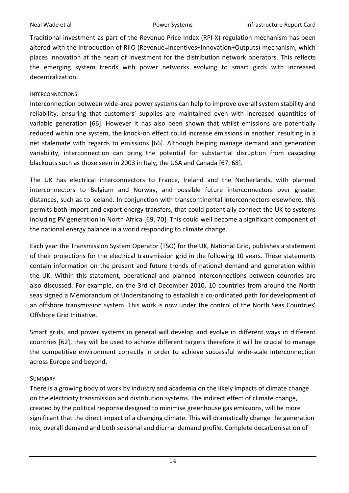Traditional investment as part of the Revenue Price Index (RPI-X) regulation mechanism has been altered with the introduction of RIIO (Revenue=Incentives+Innovation+Outputs) mechanism, which places innovation at the heart of investment for the distribution network operators. This reflects the emerging system trends with power networks evolving to smart girds with increased decentralization.

## **INTERCONNECTIONS**

Interconnection between wide-area power systems can help to improve overall system stability and reliability, ensuring that customers' supplies are maintained even with increased quantities of variable generation [\[66\]](#page-19-6). However it has also been shown that whilst emissions are potentially reduced within one system, the knock-on effect could increase emissions in another, resulting in a net stalemate with regards to emissions [\[66\]](#page-19-6). Although helping manage demand and generation variability, interconnection can bring the potential for substantial disruption from cascading blackouts such as those seen in 2003 in Italy, the USA and Canada [\[67,](#page-19-7) [68\]](#page-19-8).

The UK has electrical interconnectors to France, Ireland and the Netherlands, with planned interconnectors to Belgium and Norway, and possible future interconnectors over greater distances, such as to Iceland. In conjunction with transcontinental interconnectors elsewhere, this permits both import and export energy transfers, that could potentially connect the UK to systems including PV generation in North Africa [\[69,](#page-19-9) [70\]](#page-19-10). This could well become a significant component of the national energy balance in a world responding to climate change.

Each year the Transmission System Operator (TSO) for the UK, National Grid, publishes a statement of their projections for the electrical transmission grid in the following 10 years. These statements contain information on the present and future trends of national demand and generation within the UK. Within this statement, operational and planned interconnections between countries are also discussed. For example, on the 3rd of December 2010, 10 countries from around the North seas signed a Memorandum of Understanding to establish a co-ordinated path for development of an offshore transmission system. This work is now under the control of the North Seas Countries' Offshore Grid Initiative.

Smart grids, and power systems in general will develop and evolve in different ways in different countries [\[62\]](#page-19-2), they will be used to achieve different targets therefore it will be crucial to manage the competitive environment correctly in order to achieve successful wide-scale interconnection across Europe and beyond.

# SUMMARY

There is a growing body of work by industry and academia on the likely impacts of climate change on the electricity transmission and distribution systems. The indirect effect of climate change, created by the political response designed to minimise greenhouse gas emissions, will be more significant that the direct impact of a changing climate. This will dramatically change the generation mix, overall demand and both seasonal and diurnal demand profile. Complete decarbonisation of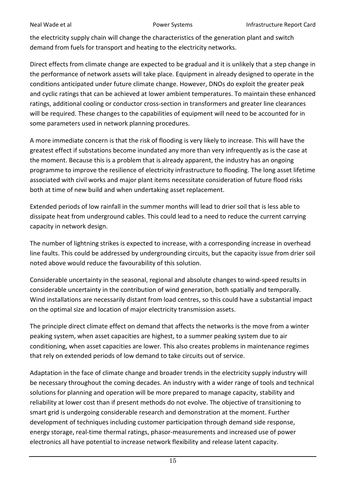the electricity supply chain will change the characteristics of the generation plant and switch demand from fuels for transport and heating to the electricity networks.

Direct effects from climate change are expected to be gradual and it is unlikely that a step change in the performance of network assets will take place. Equipment in already designed to operate in the conditions anticipated under future climate change. However, DNOs do exploit the greater peak and cyclic ratings that can be achieved at lower ambient temperatures. To maintain these enhanced ratings, additional cooling or conductor cross-section in transformers and greater line clearances will be required. These changes to the capabilities of equipment will need to be accounted for in some parameters used in network planning procedures.

A more immediate concern is that the risk of flooding is very likely to increase. This will have the greatest effect if substations become inundated any more than very infrequently as is the case at the moment. Because this is a problem that is already apparent, the industry has an ongoing programme to improve the resilience of electricity infrastructure to flooding. The long asset lifetime associated with civil works and major plant items necessitate consideration of future flood risks both at time of new build and when undertaking asset replacement.

Extended periods of low rainfall in the summer months will lead to drier soil that is less able to dissipate heat from underground cables. This could lead to a need to reduce the current carrying capacity in network design.

The number of lightning strikes is expected to increase, with a corresponding increase in overhead line faults. This could be addressed by undergrounding circuits, but the capacity issue from drier soil noted above would reduce the favourability of this solution.

Considerable uncertainty in the seasonal, regional and absolute changes to wind-speed results in considerable uncertainty in the contribution of wind generation, both spatially and temporally. Wind installations are necessarily distant from load centres, so this could have a substantial impact on the optimal size and location of major electricity transmission assets.

The principle direct climate effect on demand that affects the networks is the move from a winter peaking system, when asset capacities are highest, to a summer peaking system due to air conditioning, when asset capacities are lower. This also creates problems in maintenance regimes that rely on extended periods of low demand to take circuits out of service.

Adaptation in the face of climate change and broader trends in the electricity supply industry will be necessary throughout the coming decades. An industry with a wider range of tools and technical solutions for planning and operation will be more prepared to manage capacity, stability and reliability at lower cost than if present methods do not evolve. The objective of transitioning to smart grid is undergoing considerable research and demonstration at the moment. Further development of techniques including customer participation through demand side response, energy storage, real-time thermal ratings, phasor-measurements and increased use of power electronics all have potential to increase network flexibility and release latent capacity.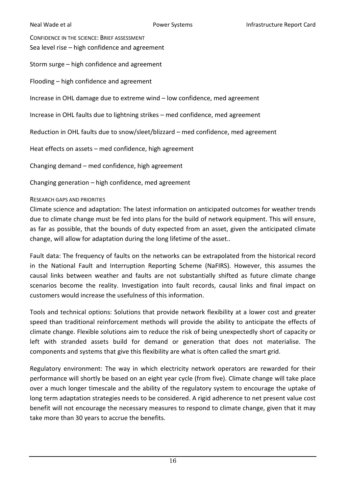CONFIDENCE IN THE SCIENCE: BRIEF ASSESSMENT Sea level rise – high confidence and agreement Storm surge – high confidence and agreement Flooding – high confidence and agreement Increase in OHL damage due to extreme wind – low confidence, med agreement Increase in OHL faults due to lightning strikes – med confidence, med agreement Reduction in OHL faults due to snow/sleet/blizzard – med confidence, med agreement

Heat effects on assets – med confidence, high agreement

Changing demand – med confidence, high agreement

Changing generation – high confidence, med agreement

### RESEARCH GAPS AND PRIORITIES

Climate science and adaptation: The latest information on anticipated outcomes for weather trends due to climate change must be fed into plans for the build of network equipment. This will ensure, as far as possible, that the bounds of duty expected from an asset, given the anticipated climate change, will allow for adaptation during the long lifetime of the asset..

Fault data: The frequency of faults on the networks can be extrapolated from the historical record in the National Fault and Interruption Reporting Scheme (NaFIRS). However, this assumes the causal links between weather and faults are not substantially shifted as future climate change scenarios become the reality. Investigation into fault records, causal links and final impact on customers would increase the usefulness of this information.

Tools and technical options: Solutions that provide network flexibility at a lower cost and greater speed than traditional reinforcement methods will provide the ability to anticipate the effects of climate change. Flexible solutions aim to reduce the risk of being unexpectedly short of capacity or left with stranded assets build for demand or generation that does not materialise. The components and systems that give this flexibility are what is often called the smart grid.

Regulatory environment: The way in which electricity network operators are rewarded for their performance will shortly be based on an eight year cycle (from five). Climate change will take place over a much longer timescale and the ability of the regulatory system to encourage the uptake of long term adaptation strategies needs to be considered. A rigid adherence to net present value cost benefit will not encourage the necessary measures to respond to climate change, given that it may take more than 30 years to accrue the benefits.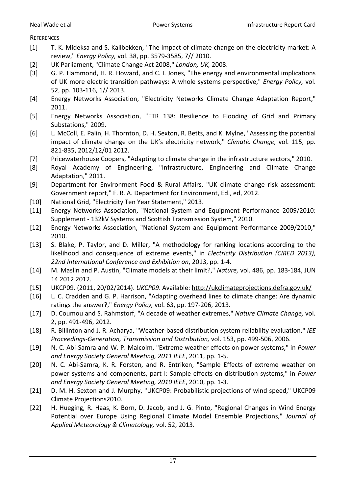**REFERENCES** 

- <span id="page-16-0"></span>[1] T. K. Mideksa and S. Kallbekken, "The impact of climate change on the electricity market: A review," *Energy Policy,* vol. 38, pp. 3579-3585, 7// 2010.
- <span id="page-16-1"></span>[2] UK Parliament, "Climate Change Act 2008," *London, UK,* 2008.
- <span id="page-16-2"></span>[3] G. P. Hammond, H. R. Howard, and C. I. Jones, "The energy and environmental implications of UK more electric transition pathways: A whole systems perspective," *Energy Policy,* vol. 52, pp. 103-116, 1// 2013.
- <span id="page-16-3"></span>[4] Energy Networks Association, "Electricity Networks Climate Change Adaptation Report," 2011.
- <span id="page-16-4"></span>[5] Energy Networks Association, "ETR 138: Resilience to Flooding of Grid and Primary Substations," 2009.
- <span id="page-16-5"></span>[6] L. McColl, E. Palin, H. Thornton, D. H. Sexton, R. Betts, and K. Mylne, "Assessing the potential impact of climate change on the UK's electricity network," *Climatic Change,* vol. 115, pp. 821-835, 2012/12/01 2012.
- <span id="page-16-6"></span>[7] Pricewaterhouse Coopers, "Adapting to climate change in the infrastructure sectors," 2010.
- <span id="page-16-7"></span>[8] Royal Academy of Engineering, "Infrastructure, Engineering and Climate Change Adaptation," 2011.
- <span id="page-16-8"></span>[9] Department for Environment Food & Rural Affairs, "UK climate change risk assessment: Government report," F. R. A. Department for Environment, Ed., ed, 2012.
- <span id="page-16-9"></span>[10] National Grid, "Electricity Ten Year Statement," 2013.
- <span id="page-16-10"></span>[11] Energy Networks Association, "National System and Equipment Performance 2009/2010: Supplement - 132kV Systems and Scottish Transmission System," 2010.
- <span id="page-16-11"></span>[12] Energy Networks Association, "National System and Equipment Performance 2009/2010," 2010.
- <span id="page-16-12"></span>[13] S. Blake, P. Taylor, and D. Miller, "A methodology for ranking locations according to the likelihood and consequence of extreme events," in *Electricity Distribution (CIRED 2013), 22nd International Conference and Exhibition on*, 2013, pp. 1-4.
- <span id="page-16-13"></span>[14] M. Maslin and P. Austin, "Climate models at their limit?," *Nature,* vol. 486, pp. 183-184, JUN 14 2012 2012.
- <span id="page-16-14"></span>[15] UKCP09. (2011, 20/02/2014). *UKCP09*. Available:<http://ukclimateprojections.defra.gov.uk/>
- <span id="page-16-15"></span>[16] L. C. Cradden and G. P. Harrison, "Adapting overhead lines to climate change: Are dynamic ratings the answer?," *Energy Policy,* vol. 63, pp. 197-206, 2013.
- <span id="page-16-16"></span>[17] D. Coumou and S. Rahmstorf, "A decade of weather extremes," *Nature Climate Change,* vol. 2, pp. 491-496, 2012.
- <span id="page-16-17"></span>[18] R. Billinton and J. R. Acharya, "Weather-based distribution system reliability evaluation," *IEE Proceedings-Generation, Transmission and Distribution,* vol. 153, pp. 499-506, 2006.
- <span id="page-16-18"></span>[19] N. C. Abi-Samra and W. P. Malcolm, "Extreme weather effects on power systems," in *Power and Energy Society General Meeting, 2011 IEEE*, 2011, pp. 1-5.
- <span id="page-16-19"></span>[20] N. C. Abi-Samra, K. R. Forsten, and R. Entriken, "Sample Effects of extreme weather on power systems and components, part I: Sample effects on distribution systems," in *Power and Energy Society General Meeting, 2010 IEEE*, 2010, pp. 1-3.
- <span id="page-16-20"></span>[21] D. M. H. Sexton and J. Murphy, "UKCP09: Probabilistic projections of wind speed," UKCP09 Climate Projections2010.
- <span id="page-16-21"></span>[22] H. Hueging, R. Haas, K. Born, D. Jacob, and J. G. Pinto, "Regional Changes in Wind Energy Potential over Europe Using Regional Climate Model Ensemble Projections," *Journal of Applied Meteorology & Climatology,* vol. 52, 2013.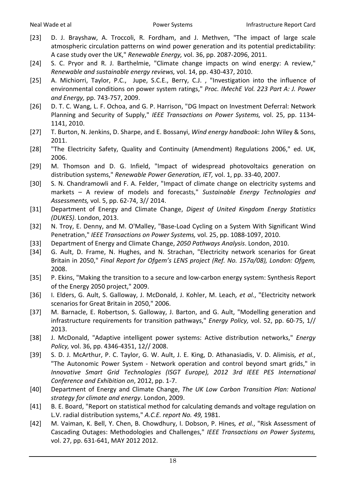- <span id="page-17-0"></span>[23] D. J. Brayshaw, A. Troccoli, R. Fordham, and J. Methven, "The impact of large scale atmospheric circulation patterns on wind power generation and its potential predictability: A case study over the UK," *Renewable Energy,* vol. 36, pp. 2087-2096, 2011.
- <span id="page-17-1"></span>[24] S. C. Pryor and R. J. Barthelmie, "Climate change impacts on wind energy: A review," *Renewable and sustainable energy reviews,* vol. 14, pp. 430-437, 2010.
- <span id="page-17-2"></span>[25] A. Michiorri, Taylor, P.C., Jupe, S.C.E., Berry, C.J. , "Investigation into the influence of environmental conditions on power system ratings," *Proc. IMechE Vol. 223 Part A: J. Power and Energy,* pp. 743-757, 2009.
- <span id="page-17-3"></span>[26] D. T. C. Wang, L. F. Ochoa, and G. P. Harrison, "DG Impact on Investment Deferral: Network Planning and Security of Supply," *IEEE Transactions on Power Systems,* vol. 25, pp. 1134- 1141, 2010.
- <span id="page-17-4"></span>[27] T. Burton, N. Jenkins, D. Sharpe, and E. Bossanyi, *Wind energy handbook*: John Wiley & Sons, 2011.
- <span id="page-17-5"></span>[28] "The Electricity Safety, Quality and Continuity (Amendment) Regulations 2006," ed. UK, 2006.
- <span id="page-17-6"></span>[29] M. Thomson and D. G. Infield, "Impact of widespread photovoltaics generation on distribution systems," *Renewable Power Generation, IET,* vol. 1, pp. 33-40, 2007.
- <span id="page-17-7"></span>[30] S. N. Chandramowli and F. A. Felder, "Impact of climate change on electricity systems and markets – A review of models and forecasts," *Sustainable Energy Technologies and Assessments,* vol. 5, pp. 62-74, 3// 2014.
- <span id="page-17-8"></span>[31] Department of Energy and Climate Change, *Digest of United Kingdom Energy Statistics (DUKES)*. London, 2013.
- <span id="page-17-9"></span>[32] N. Troy, E. Denny, and M. O'Malley, "Base-Load Cycling on a System With Significant Wind Penetration," *IEEE Transactions on Power Systems,* vol. 25, pp. 1088-1097, 2010.
- <span id="page-17-10"></span>[33] Department of Energy and Climate Change, *2050 Pathways Analysis*. London, 2010.
- <span id="page-17-11"></span>[34] G. Ault, D. Frame, N. Hughes, and N. Strachan, "Electricity network scenarios for Great Britain in 2050," *Final Report for Ofgem's LENS project (Ref. No. 157a/08), London: Ofgem,*  2008.
- <span id="page-17-12"></span>[35] P. Ekins, "Making the transition to a secure and low-carbon energy system: Synthesis Report of the Energy 2050 project," 2009.
- <span id="page-17-13"></span>[36] I. Elders, G. Ault, S. Galloway, J. McDonald, J. Kohler, M. Leach*, et al.*, "Electricity network scenarios for Great Britain in 2050," 2006.
- <span id="page-17-14"></span>[37] M. Barnacle, E. Robertson, S. Galloway, J. Barton, and G. Ault, "Modelling generation and infrastructure requirements for transition pathways," *Energy Policy,* vol. 52, pp. 60-75, 1// 2013.
- <span id="page-17-15"></span>[38] J. McDonald, "Adaptive intelligent power systems: Active distribution networks," *Energy Policy,* vol. 36, pp. 4346-4351, 12// 2008.
- <span id="page-17-16"></span>[39] S. D. J. McArthur, P. C. Taylor, G. W. Ault, J. E. King, D. Athanasiadis, V. D. Alimisis*, et al.*, "The Autonomic Power System - Network operation and control beyond smart grids," in *Innovative Smart Grid Technologies (ISGT Europe), 2012 3rd IEEE PES International Conference and Exhibition on*, 2012, pp. 1-7.
- <span id="page-17-17"></span>[40] Department of Energy and Climate Change, *The UK Low Carbon Transition Plan: National strategy for climate and energy*. London, 2009.
- <span id="page-17-18"></span>[41] B. E. Board, "Report on statistical method for calculating demands and voltage regulation on L.V. radial distribution systems," *A.C.E. report No. 49,* 1981.
- <span id="page-17-19"></span>[42] M. Vaiman, K. Bell, Y. Chen, B. Chowdhury, I. Dobson, P. Hines*, et al.*, "Risk Assessment of Cascading Outages: Methodologies and Challenges," *IEEE Transactions on Power Systems,*  vol. 27, pp. 631-641, MAY 2012 2012.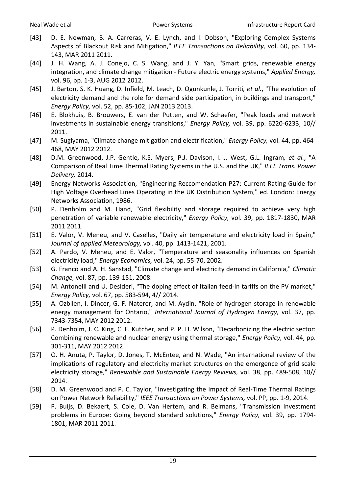- <span id="page-18-0"></span>[43] D. E. Newman, B. A. Carreras, V. E. Lynch, and I. Dobson, "Exploring Complex Systems Aspects of Blackout Risk and Mitigation," *IEEE Transactions on Reliability,* vol. 60, pp. 134- 143, MAR 2011 2011.
- <span id="page-18-1"></span>[44] J. H. Wang, A. J. Conejo, C. S. Wang, and J. Y. Yan, "Smart grids, renewable energy integration, and climate change mitigation - Future electric energy systems," *Applied Energy,*  vol. 96, pp. 1-3, AUG 2012 2012.
- [45] J. Barton, S. K. Huang, D. Infield, M. Leach, D. Ogunkunle, J. Torriti*, et al.*, "The evolution of electricity demand and the role for demand side participation, in buildings and transport," *Energy Policy,* vol. 52, pp. 85-102, JAN 2013 2013.
- [46] E. Blokhuis, B. Brouwers, E. van der Putten, and W. Schaefer, "Peak loads and network investments in sustainable energy transitions," *Energy Policy,* vol. 39, pp. 6220-6233, 10// 2011.
- [47] M. Sugiyama, "Climate change mitigation and electrification," *Energy Policy,* vol. 44, pp. 464- 468, MAY 2012 2012.
- <span id="page-18-2"></span>[48] D.M. Greenwood, J.P. Gentle, K.S. Myers, P.J. Davison, I. J. West, G.L. Ingram*, et al.*, "A Comparison of Real Time Thermal Rating Systems in the U.S. and the UK," *IEEE Trans. Power Delivery,* 2014.
- <span id="page-18-3"></span>[49] Energy Networks Association, "Engineering Reccomendation P27: Current Rating Guide for High Voltage Overhead Lines Operating in the UK Distribution System," ed. London: Energy Networks Association, 1986.
- <span id="page-18-4"></span>[50] P. Denholm and M. Hand, "Grid flexibility and storage required to achieve very high penetration of variable renewable electricity," *Energy Policy,* vol. 39, pp. 1817-1830, MAR 2011 2011.
- <span id="page-18-5"></span>[51] E. Valor, V. Meneu, and V. Caselles, "Daily air temperature and electricity load in Spain," *Journal of applied Meteorology,* vol. 40, pp. 1413-1421, 2001.
- [52] A. Pardo, V. Meneu, and E. Valor, "Temperature and seasonality influences on Spanish electricity load," *Energy Economics,* vol. 24, pp. 55-70, 2002.
- [53] G. Franco and A. H. Sanstad, "Climate change and electricity demand in California," *Climatic Change,* vol. 87, pp. 139-151, 2008.
- <span id="page-18-6"></span>[54] M. Antonelli and U. Desideri, "The doping effect of Italian feed-in tariffs on the PV market," *Energy Policy,* vol. 67, pp. 583-594, 4// 2014.
- <span id="page-18-7"></span>[55] A. Ozbilen, I. Dincer, G. F. Naterer, and M. Aydin, "Role of hydrogen storage in renewable energy management for Ontario," *International Journal of Hydrogen Energy,* vol. 37, pp. 7343-7354, MAY 2012 2012.
- <span id="page-18-8"></span>[56] P. Denholm, J. C. King, C. F. Kutcher, and P. P. H. Wilson, "Decarbonizing the electric sector: Combining renewable and nuclear energy using thermal storage," *Energy Policy,* vol. 44, pp. 301-311, MAY 2012 2012.
- <span id="page-18-9"></span>[57] O. H. Anuta, P. Taylor, D. Jones, T. McEntee, and N. Wade, "An international review of the implications of regulatory and electricity market structures on the emergence of grid scale electricity storage," *Renewable and Sustainable Energy Reviews,* vol. 38, pp. 489-508, 10// 2014.
- <span id="page-18-10"></span>[58] D. M. Greenwood and P. C. Taylor, "Investigating the Impact of Real-Time Thermal Ratings on Power Network Reliability," *IEEE Transactions on Power Systems,* vol. PP, pp. 1-9, 2014.
- <span id="page-18-11"></span>[59] P. Buijs, D. Bekaert, S. Cole, D. Van Hertem, and R. Belmans, "Transmission investment problems in Europe: Going beyond standard solutions," *Energy Policy,* vol. 39, pp. 1794- 1801, MAR 2011 2011.